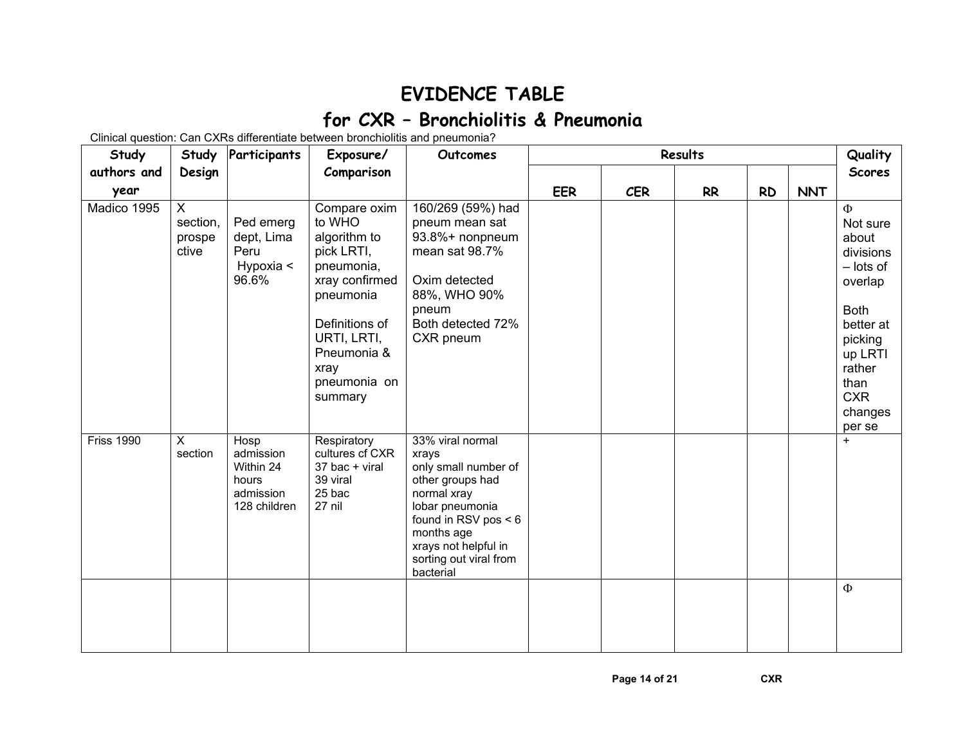## **EVIDENCE TABLE for CXR – Bronchiolitis & Pneumonia**

Clinical question: Can CXRs differentiate between bronchiolitis and pneumonia?

| Study             |                                  | Study Participants                                                   | Exposure/                                                                                                                                                                            | Outcomes                                                                                                                                                                                                       |            |            | Quality   |           |            |                                                                                                                                                                         |
|-------------------|----------------------------------|----------------------------------------------------------------------|--------------------------------------------------------------------------------------------------------------------------------------------------------------------------------------|----------------------------------------------------------------------------------------------------------------------------------------------------------------------------------------------------------------|------------|------------|-----------|-----------|------------|-------------------------------------------------------------------------------------------------------------------------------------------------------------------------|
| authors and       | Design                           |                                                                      | Comparison                                                                                                                                                                           |                                                                                                                                                                                                                |            |            |           |           |            | <b>Scores</b>                                                                                                                                                           |
| year              |                                  |                                                                      |                                                                                                                                                                                      |                                                                                                                                                                                                                | <b>EER</b> | <b>CER</b> | <b>RR</b> | <b>RD</b> | <b>NNT</b> |                                                                                                                                                                         |
| Madico 1995       | X<br>section,<br>prospe<br>ctive | Ped emerg<br>dept, Lima<br>Peru<br>Hypoxia <<br>96.6%                | Compare oxim<br>to WHO<br>algorithm to<br>pick LRTI,<br>pneumonia,<br>xray confirmed<br>pneumonia<br>Definitions of<br>URTI, LRTI,<br>Pneumonia &<br>xray<br>pneumonia on<br>summary | 160/269 (59%) had<br>pneum mean sat<br>93.8%+ nonpneum<br>mean sat 98.7%<br>Oxim detected<br>88%, WHO 90%<br>pneum<br>Both detected 72%<br>CXR pneum                                                           |            |            |           |           |            | $\Phi$<br>Not sure<br>about<br>divisions<br>- lots of<br>overlap<br><b>Both</b><br>better at<br>picking<br>up LRTI<br>rather<br>than<br><b>CXR</b><br>changes<br>per se |
| <b>Friss 1990</b> | X.<br>section                    | Hosp<br>admission<br>Within 24<br>hours<br>admission<br>128 children | Respiratory<br>cultures cf CXR<br>37 bac + viral<br>39 viral<br>25 bac<br>27 nil                                                                                                     | 33% viral normal<br>xrays<br>only small number of<br>other groups had<br>normal xray<br>lobar pneumonia<br>found in RSV pos $< 6$<br>months age<br>xrays not helpful in<br>sorting out viral from<br>bacterial |            |            |           |           |            | $+$                                                                                                                                                                     |
|                   |                                  |                                                                      |                                                                                                                                                                                      |                                                                                                                                                                                                                |            |            |           |           |            | $\Phi$                                                                                                                                                                  |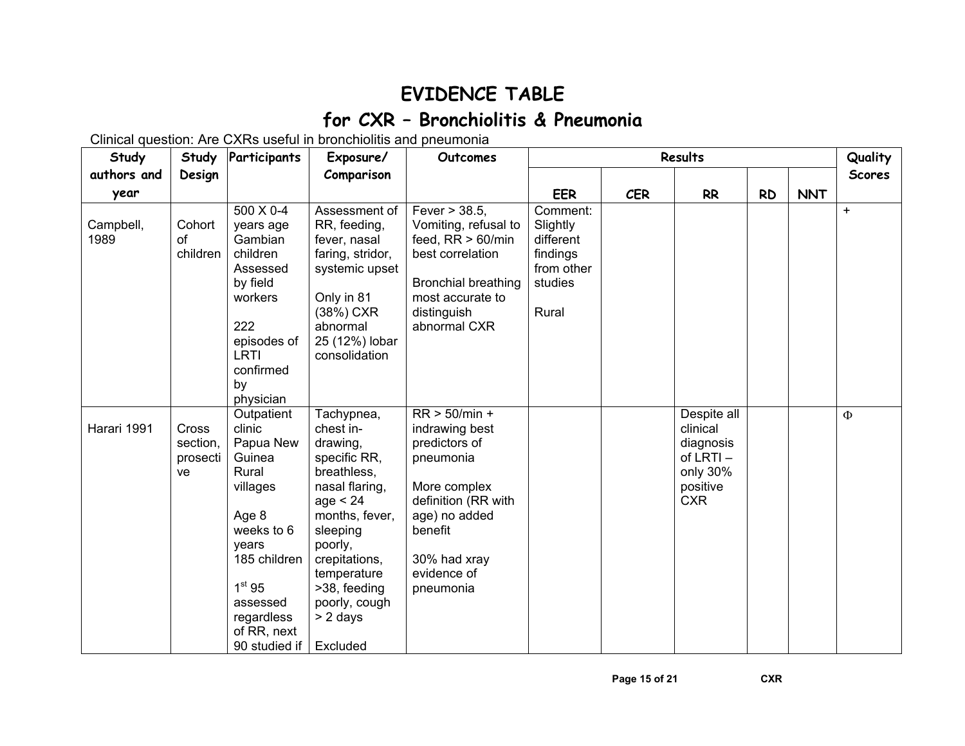## **EVIDENCE TABLE for CXR – Bronchiolitis & Pneumonia**

Clinical question: Are CXRs useful in bronchiolitis and pneumonia

| Study             | Study                                      | Participants                                                                                                                                                                                     | Exposure/                                                                                                                                                                                                                            | Outcomes                                                                                                                                                                       |                                                                                 |            | Results                                                                                |           |            | Quality       |
|-------------------|--------------------------------------------|--------------------------------------------------------------------------------------------------------------------------------------------------------------------------------------------------|--------------------------------------------------------------------------------------------------------------------------------------------------------------------------------------------------------------------------------------|--------------------------------------------------------------------------------------------------------------------------------------------------------------------------------|---------------------------------------------------------------------------------|------------|----------------------------------------------------------------------------------------|-----------|------------|---------------|
| authors and       | Design                                     |                                                                                                                                                                                                  | Comparison                                                                                                                                                                                                                           |                                                                                                                                                                                |                                                                                 |            |                                                                                        |           |            | <b>Scores</b> |
| year              |                                            |                                                                                                                                                                                                  |                                                                                                                                                                                                                                      |                                                                                                                                                                                | <b>EER</b>                                                                      | <b>CER</b> | <b>RR</b>                                                                              | <b>RD</b> | <b>NNT</b> |               |
| Campbell,<br>1989 | Cohort<br>of<br>children                   | 500 X 0-4<br>years age<br>Gambian<br>children<br>Assessed<br>by field<br>workers<br>222<br>episodes of<br><b>LRTI</b><br>confirmed<br>by<br>physician                                            | Assessment of<br>RR, feeding,<br>fever, nasal<br>faring, stridor,<br>systemic upset<br>Only in 81<br>(38%) CXR<br>abnormal<br>25 (12%) lobar<br>consolidation                                                                        | Fever > 38.5,<br>Vomiting, refusal to<br>feed, $RR > 60/min$<br>best correlation<br><b>Bronchial breathing</b><br>most accurate to<br>distinguish<br>abnormal CXR              | Comment:<br>Slightly<br>different<br>findings<br>from other<br>studies<br>Rural |            |                                                                                        |           |            | $+$           |
| Harari 1991       | <b>Cross</b><br>section,<br>prosecti<br>ve | Outpatient<br>clinic<br>Papua New<br>Guinea<br>Rural<br>villages<br>Age 8<br>weeks to 6<br>years<br>185 children<br>1 <sup>st</sup> 95<br>assessed<br>regardless<br>of RR, next<br>90 studied if | Tachypnea,<br>chest in-<br>drawing,<br>specific RR,<br>breathless,<br>nasal flaring,<br>age < 24<br>months, fever,<br>sleeping<br>poorly,<br>crepitations,<br>temperature<br>>38, feeding<br>poorly, cough<br>$> 2$ days<br>Excluded | $RR > 50/min +$<br>indrawing best<br>predictors of<br>pneumonia<br>More complex<br>definition (RR with<br>age) no added<br>benefit<br>30% had xray<br>evidence of<br>pneumonia |                                                                                 |            | Despite all<br>clinical<br>diagnosis<br>of LRTI-<br>only 30%<br>positive<br><b>CXR</b> |           |            | $\Phi$        |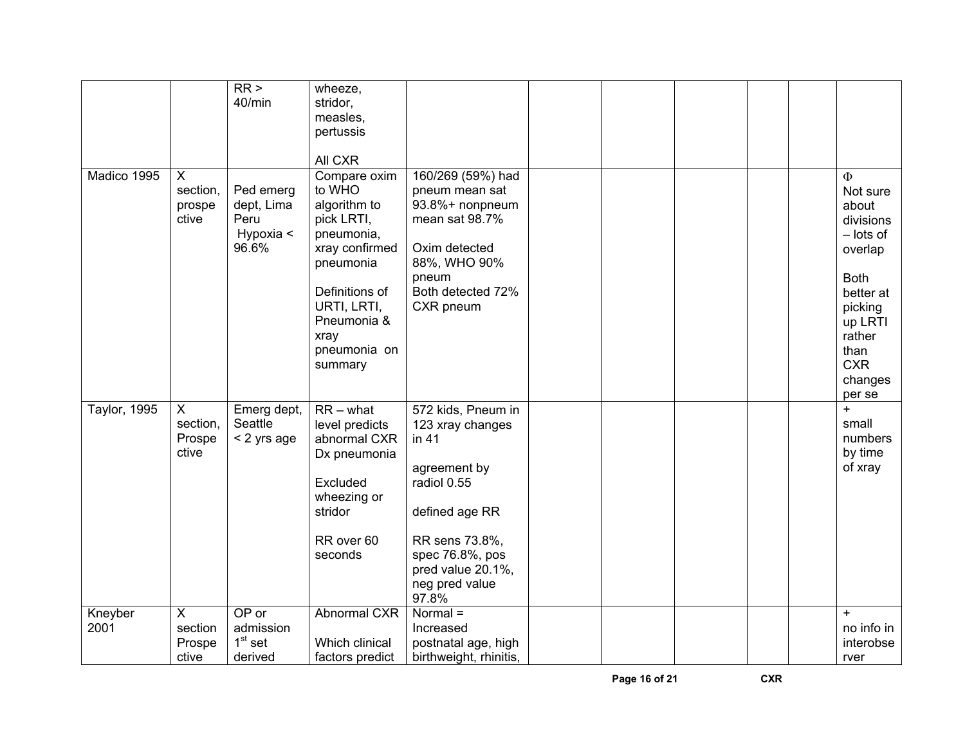|                     |                                                       | RR ><br>40/min                                        | wheeze,<br>stridor,<br>measles,<br>pertussis<br>All CXR                                                                                                                              |                                                                                                                                                                                       |  |  |                                                                                                                                                                      |
|---------------------|-------------------------------------------------------|-------------------------------------------------------|--------------------------------------------------------------------------------------------------------------------------------------------------------------------------------------|---------------------------------------------------------------------------------------------------------------------------------------------------------------------------------------|--|--|----------------------------------------------------------------------------------------------------------------------------------------------------------------------|
| Madico 1995         | X<br>section,<br>prospe<br>ctive                      | Ped emerg<br>dept, Lima<br>Peru<br>Hypoxia <<br>96.6% | Compare oxim<br>to WHO<br>algorithm to<br>pick LRTI,<br>pneumonia,<br>xray confirmed<br>pneumonia<br>Definitions of<br>URTI, LRTI,<br>Pneumonia &<br>xray<br>pneumonia on<br>summary | 160/269 (59%) had<br>pneum mean sat<br>93.8%+ nonpneum<br>mean sat 98.7%<br>Oxim detected<br>88%, WHO 90%<br>pneum<br>Both detected 72%<br>CXR pneum                                  |  |  | Ф<br>Not sure<br>about<br>divisions<br>$-$ lots of<br>overlap<br><b>Both</b><br>better at<br>picking<br>up LRTI<br>rather<br>than<br><b>CXR</b><br>changes<br>per se |
| <b>Taylor, 1995</b> | $\mathsf{X}$<br>section,<br>Prospe<br>ctive           | Emerg dept,<br>Seattle<br>< 2 yrs age                 | $RR - what$<br>level predicts<br>abnormal CXR<br>Dx pneumonia<br>Excluded<br>wheezing or<br>stridor<br>RR over 60<br>seconds                                                         | 572 kids, Pneum in<br>123 xray changes<br>in 41<br>agreement by<br>radiol 0.55<br>defined age RR<br>RR sens 73.8%,<br>spec 76.8%, pos<br>pred value 20.1%,<br>neg pred value<br>97.8% |  |  | $\ddot{}$<br>small<br>numbers<br>by time<br>of xray                                                                                                                  |
| Kneyber<br>2001     | $\overline{\mathsf{x}}$<br>section<br>Prospe<br>ctive | OP or<br>admission<br>$1st$ set<br>derived            | Abnormal CXR<br>Which clinical<br>factors predict                                                                                                                                    | $Normal =$<br>Increased<br>postnatal age, high<br>birthweight, rhinitis,                                                                                                              |  |  | $\ddot{}$<br>no info in<br>interobse<br>rver                                                                                                                         |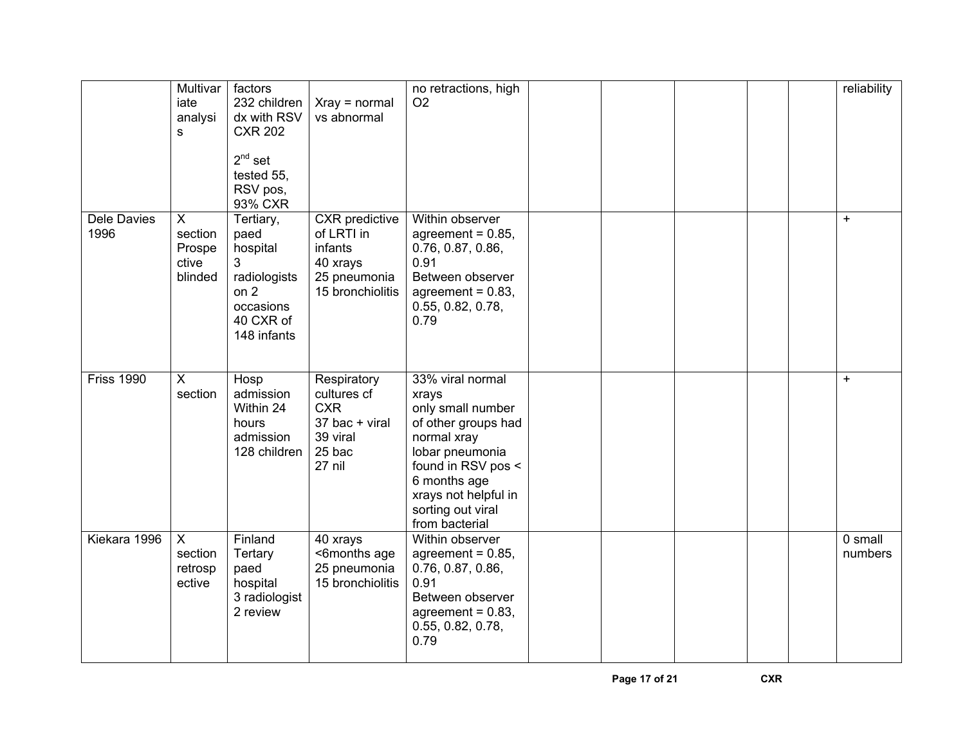|                            | Multivar<br>iate<br>analysi<br>s               | factors<br>232 children<br>dx with RSV<br><b>CXR 202</b><br>$2^{nd}$ set<br>tested 55,<br>RSV pos,<br>93% CXR | $Xray = normal$<br>vs abnormal                                                                 | no retractions, high<br>O <sub>2</sub>                                                                                                                                                                       |  |  | reliability        |
|----------------------------|------------------------------------------------|---------------------------------------------------------------------------------------------------------------|------------------------------------------------------------------------------------------------|--------------------------------------------------------------------------------------------------------------------------------------------------------------------------------------------------------------|--|--|--------------------|
| <b>Dele Davies</b><br>1996 | X<br>section<br>Prospe<br>ctive<br>blinded     | Tertiary,<br>paed<br>hospital<br>3<br>radiologists<br>on $2$<br>occasions<br>40 CXR of<br>148 infants         | <b>CXR</b> predictive<br>of LRTI in<br>infants<br>40 xrays<br>25 pneumonia<br>15 bronchiolitis | Within observer<br>agreement = $0.85$ ,<br>0.76, 0.87, 0.86,<br>0.91<br>Between observer<br>agreement = $0.83$ ,<br>0.55, 0.82, 0.78,<br>0.79                                                                |  |  | $\ddot{}$          |
| <b>Friss 1990</b>          | $\overline{X}$<br>section                      | Hosp<br>admission<br>Within 24<br>hours<br>admission<br>128 children                                          | Respiratory<br>cultures cf<br><b>CXR</b><br>37 bac + viral<br>39 viral<br>25 bac<br>27 nil     | 33% viral normal<br>xrays<br>only small number<br>of other groups had<br>normal xray<br>lobar pneumonia<br>found in RSV pos <<br>6 months age<br>xrays not helpful in<br>sorting out viral<br>from bacterial |  |  | $+$                |
| Kiekara 1996               | $\overline{X}$<br>section<br>retrosp<br>ective | Finland<br>Tertary<br>paed<br>hospital<br>3 radiologist<br>2 review                                           | 40 xrays<br><6months age<br>25 pneumonia<br>15 bronchiolitis                                   | Within observer<br>agreement = $0.85$ ,<br>0.76, 0.87, 0.86,<br>0.91<br>Between observer<br>agreement = $0.83$ ,<br>0.55, 0.82, 0.78,<br>0.79                                                                |  |  | 0 small<br>numbers |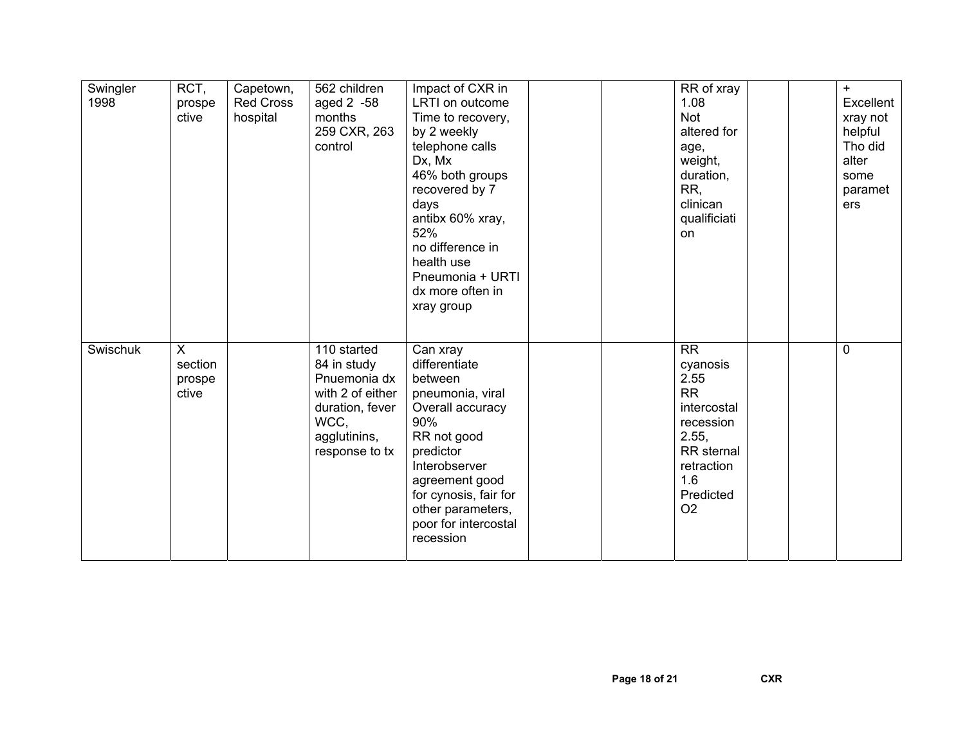| Swingler<br>1998 | RCT,<br>prospe<br>ctive         | Capetown,<br><b>Red Cross</b><br>hospital | 562 children<br>aged 2 -58<br>months<br>259 CXR, 263<br>control                                                             | Impact of CXR in<br>LRTI on outcome<br>Time to recovery,<br>by 2 weekly<br>telephone calls<br>Dx, Mx<br>46% both groups<br>recovered by 7<br>days<br>antibx 60% xray,<br>52%<br>no difference in<br>health use<br>Pneumonia + URTI<br>dx more often in<br>xray group |  | RR of xray<br>1.08<br><b>Not</b><br>altered for<br>age,<br>weight,<br>duration,<br>RR,<br>clinican<br>qualificiati<br>on                                 |  | $+$<br>Excellent<br>xray not<br>helpful<br>Tho did<br>alter<br>some<br>paramet<br>ers |
|------------------|---------------------------------|-------------------------------------------|-----------------------------------------------------------------------------------------------------------------------------|----------------------------------------------------------------------------------------------------------------------------------------------------------------------------------------------------------------------------------------------------------------------|--|----------------------------------------------------------------------------------------------------------------------------------------------------------|--|---------------------------------------------------------------------------------------|
| Swischuk         | X<br>section<br>prospe<br>ctive |                                           | 110 started<br>84 in study<br>Pnuemonia dx<br>with 2 of either<br>duration, fever<br>WCC,<br>agglutinins,<br>response to tx | Can xray<br>differentiate<br>between<br>pneumonia, viral<br>Overall accuracy<br>90%<br>RR not good<br>predictor<br>Interobserver<br>agreement good<br>for cynosis, fair for<br>other parameters,<br>poor for intercostal<br>recession                                |  | <b>RR</b><br>cyanosis<br>2.55<br><b>RR</b><br>intercostal<br>recession<br>2.55,<br><b>RR</b> sternal<br>retraction<br>1.6<br>Predicted<br>O <sub>2</sub> |  | $\mathbf 0$                                                                           |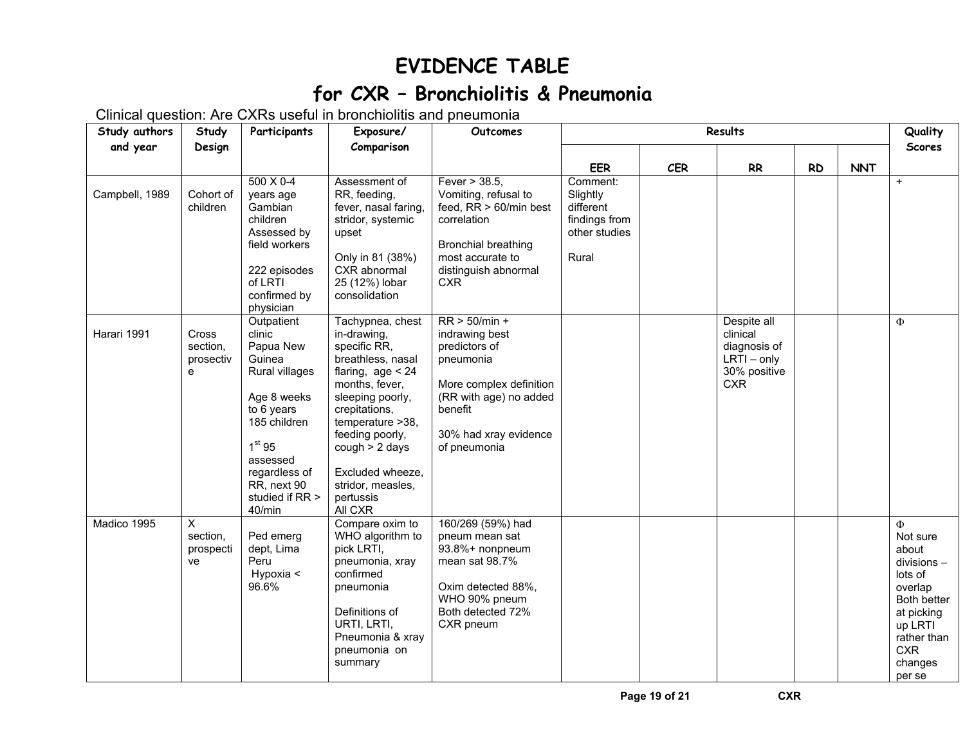## **EVIDENCE TABLE**

## **for CXR – Bronchiolitis & Pneumonia**

Clinical question: Are CXRs useful in bronchiolitis and pneumonia

| Study authors  | Study                               | Participants                                                                                                                                                                                              | Exposure/                                                                                                                                                                                                                                                                     | Outcomes                                                                                                                                                                 | Results                                                                      |     |                                                                                        |           |            | Quality                                                                                                                                                      |
|----------------|-------------------------------------|-----------------------------------------------------------------------------------------------------------------------------------------------------------------------------------------------------------|-------------------------------------------------------------------------------------------------------------------------------------------------------------------------------------------------------------------------------------------------------------------------------|--------------------------------------------------------------------------------------------------------------------------------------------------------------------------|------------------------------------------------------------------------------|-----|----------------------------------------------------------------------------------------|-----------|------------|--------------------------------------------------------------------------------------------------------------------------------------------------------------|
| and year       | Design                              |                                                                                                                                                                                                           | Comparison                                                                                                                                                                                                                                                                    |                                                                                                                                                                          |                                                                              |     |                                                                                        |           |            | <b>Scores</b>                                                                                                                                                |
|                |                                     |                                                                                                                                                                                                           |                                                                                                                                                                                                                                                                               |                                                                                                                                                                          | <b>EER</b>                                                                   | CER | RR                                                                                     | <b>RD</b> | <b>NNT</b> |                                                                                                                                                              |
| Campbell, 1989 | Cohort of<br>children               | $500 \times 0 - 4$<br>years age<br>Gambian<br>children<br>Assessed by<br>field workers<br>222 episodes<br>of LRTI<br>confirmed by<br>physician                                                            | Assessment of<br>RR, feeding,<br>fever, nasal faring,<br>stridor, systemic<br>upset<br>Only in 81 (38%)<br>CXR abnormal<br>25 (12%) lobar<br>consolidation                                                                                                                    | Fever $>$ 38.5,<br>Vomiting, refusal to<br>feed, RR > 60/min best<br>correlation<br><b>Bronchial breathing</b><br>most accurate to<br>distinguish abnormal<br><b>CXR</b> | Comment:<br>Slightly<br>different<br>findings from<br>other studies<br>Rural |     |                                                                                        |           |            | $\ddot{}$                                                                                                                                                    |
| Harari 1991    | Cross<br>section,<br>prosectiv<br>e | Outpatient<br>clinic<br>Papua New<br>Guinea<br>Rural villages<br>Age 8 weeks<br>to 6 years<br>185 children<br>1 <sup>st</sup> 95<br>assessed<br>regardless of<br>RR, next 90<br>studied if RR ><br>40/min | Tachypnea, chest<br>in-drawing,<br>specific RR,<br>breathless, nasal<br>flaring, $age < 24$<br>months, fever,<br>sleeping poorly,<br>crepitations,<br>temperature > 38,<br>feeding poorly,<br>cough > 2 days<br>Excluded wheeze,<br>stridor, measles,<br>pertussis<br>All CXR | $RR > 50/min +$<br>indrawing best<br>predictors of<br>pneumonia<br>More complex definition<br>(RR with age) no added<br>benefit<br>30% had xray evidence<br>of pneumonia |                                                                              |     | Despite all<br>clinical<br>diagnosis of<br>$LRTI - only$<br>30% positive<br><b>CXR</b> |           |            | $\Phi$                                                                                                                                                       |
| Madico 1995    | X<br>section,<br>prospecti<br>ve    | Ped emerg<br>dept, Lima<br>Peru<br>Hypoxia <<br>96.6%                                                                                                                                                     | Compare oxim to<br>WHO algorithm to<br>pick LRTI,<br>pneumonia, xray<br>confirmed<br>pneumonia<br>Definitions of<br>URTI, LRTI,<br>Pneumonia & xray<br>pneumonia on<br>summary                                                                                                | 160/269 (59%) had<br>pneum mean sat<br>93.8%+ nonpneum<br>mean sat 98.7%<br>Oxim detected 88%,<br>WHO 90% pneum<br>Both detected 72%<br>CXR pneum                        |                                                                              |     |                                                                                        |           |            | $\Phi$<br>Not sure<br>about<br>$divisions -$<br>lots of<br>overlap<br>Both better<br>at picking<br>up LRTI<br>rather than<br><b>CXR</b><br>changes<br>per se |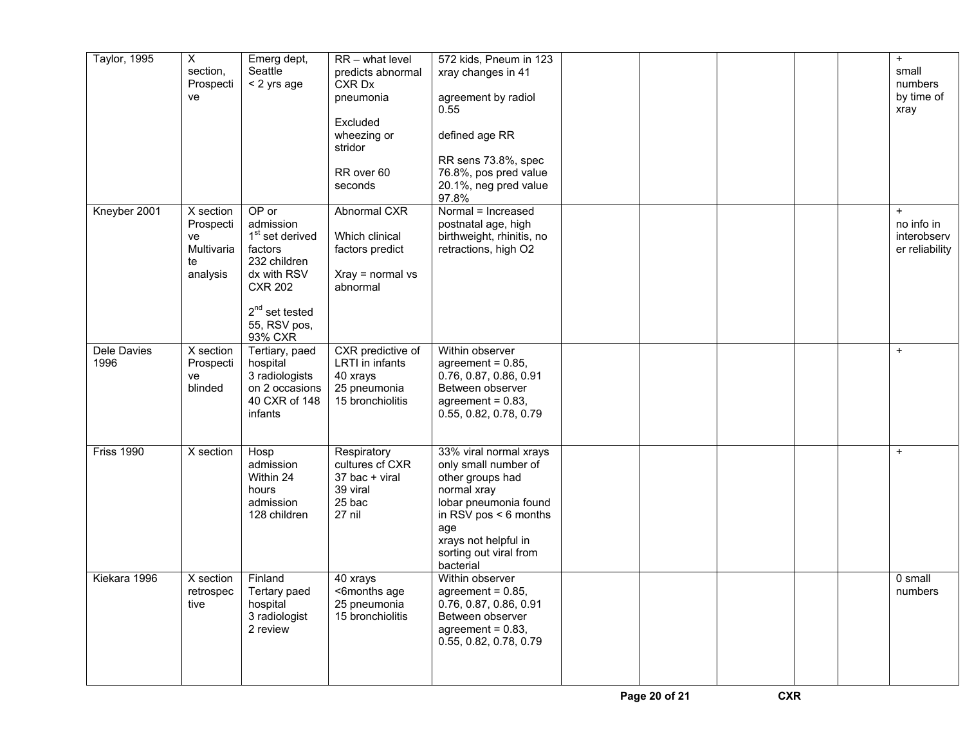| Taylor, 1995        | $\overline{X}$<br>section.<br>Prospecti<br>ve                | Emerg dept,<br>Seattle<br>< 2 yrs age                                                                                                                           | RR - what level<br>predicts abnormal<br>CXR Dx<br>pneumonia<br>Excluded<br>wheezing or<br>stridor<br>RR over 60<br>seconds | 572 kids, Pneum in 123<br>xray changes in 41<br>agreement by radiol<br>0.55<br>defined age RR<br>RR sens 73.8%, spec<br>76.8%, pos pred value<br>20.1%, neg pred value<br>97.8%                             |  |  | $\ddot{}$<br>small<br>numbers<br>by time of<br>xray      |
|---------------------|--------------------------------------------------------------|-----------------------------------------------------------------------------------------------------------------------------------------------------------------|----------------------------------------------------------------------------------------------------------------------------|-------------------------------------------------------------------------------------------------------------------------------------------------------------------------------------------------------------|--|--|----------------------------------------------------------|
| Kneyber 2001        | X section<br>Prospecti<br>ve<br>Multivaria<br>te<br>analysis | OP or<br>admission<br>1 <sup>st</sup> set derived<br>factors<br>232 children<br>dx with RSV<br><b>CXR 202</b><br>$2^{nd}$ set tested<br>55, RSV pos,<br>93% CXR | Abnormal CXR<br>Which clinical<br>factors predict<br>$Xray = normal vs$<br>abnormal                                        | Normal = Increased<br>postnatal age, high<br>birthweight, rhinitis, no<br>retractions, high O2                                                                                                              |  |  | $\ddot{}$<br>no info in<br>interobserv<br>er reliability |
| Dele Davies<br>1996 | X section<br>Prospecti<br>ve<br>blinded                      | Tertiary, paed<br>hospital<br>3 radiologists<br>on 2 occasions<br>40 CXR of 148<br>infants                                                                      | CXR predictive of<br>LRTI in infants<br>40 xrays<br>25 pneumonia<br>15 bronchiolitis                                       | Within observer<br>agreement = $0.85$ .<br>0.76, 0.87, 0.86, 0.91<br>Between observer<br>agreement = $0.83$ ,<br>0.55, 0.82, 0.78, 0.79                                                                     |  |  | $+$                                                      |
| <b>Friss 1990</b>   | X section                                                    | Hosp<br>admission<br>Within 24<br>hours<br>admission<br>128 children                                                                                            | Respiratory<br>cultures cf CXR<br>37 bac + viral<br>39 viral<br>25 bac<br>27 nil                                           | 33% viral normal xrays<br>only small number of<br>other groups had<br>normal xray<br>lobar pneumonia found<br>in RSV pos $<$ 6 months<br>age<br>xrays not helpful in<br>sorting out viral from<br>bacterial |  |  | $+$                                                      |
| Kiekara 1996        | X section<br>retrospec<br>tive                               | Finland<br>Tertary paed<br>hospital<br>3 radiologist<br>2 review                                                                                                | 40 xrays<br><6months age<br>25 pneumonia<br>15 bronchiolitis                                                               | Within observer<br>agreement = $0.85$ ,<br>0.76, 0.87, 0.86, 0.91<br>Between observer<br>agreement = $0.83$ ,<br>0.55, 0.82, 0.78, 0.79                                                                     |  |  | 0 small<br>numbers                                       |